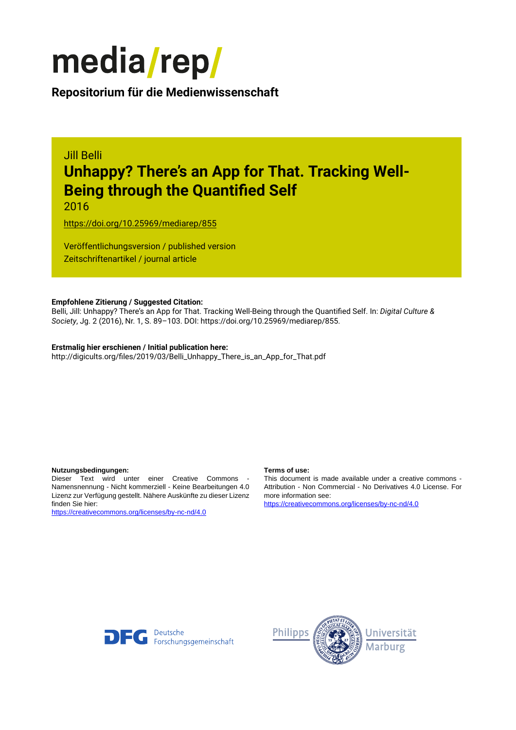

**Repositorium für die [Medienwissenschaft](https://mediarep.org)**

# Jill Belli **Unhappy? There's an App for That. Tracking Well-Being through the Quantified Self**

2016

<https://doi.org/10.25969/mediarep/855>

Veröffentlichungsversion / published version Zeitschriftenartikel / journal article

#### **Empfohlene Zitierung / Suggested Citation:**

Belli, Jill: Unhappy? There's an App for That. Tracking Well-Being through the Quantified Self. In: *Digital Culture & Society*, Jg. 2 (2016), Nr. 1, S. 89–103. DOI: https://doi.org/10.25969/mediarep/855.

# **Erstmalig hier erschienen / Initial publication here:**

http://digicults.org/files/2019/03/Belli\_Unhappy\_There\_is\_an\_App\_for\_That.pdf

#### **Nutzungsbedingungen: Terms of use:**

Dieser Text wird unter einer Creative Commons - Namensnennung - Nicht kommerziell - Keine Bearbeitungen 4.0 Lizenz zur Verfügung gestellt. Nähere Auskünfte zu dieser Lizenz finden Sie hier:

<https://creativecommons.org/licenses/by-nc-nd/4.0>

This document is made available under a creative commons - Attribution - Non Commercial - No Derivatives 4.0 License. For more information see:

<https://creativecommons.org/licenses/by-nc-nd/4.0>



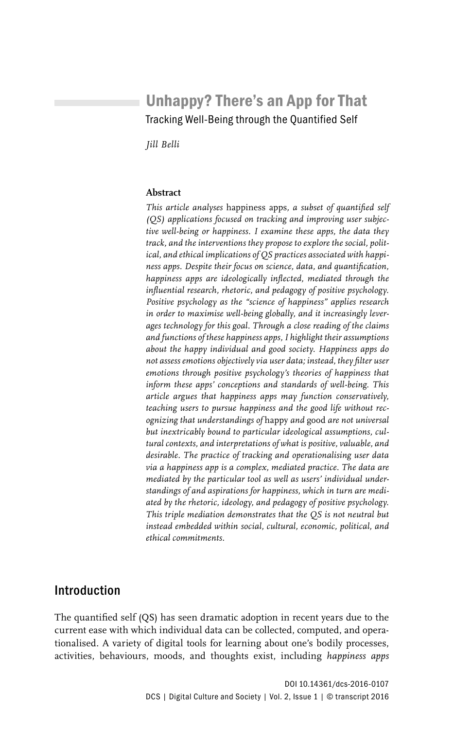# Unhappy? There's an App for That Tracking Well-Being through the Quantified Self

*Jill Belli*

#### **Abstract**

*This article analyses* happiness apps*, a subset of quantified self (QS) applications focused on tracking and improving user subjective well-being or happiness. I examine these apps, the data they track, and the interventions they propose to explore the social, political, and ethical implications of QS practices associated with happiness apps. Despite their focus on science, data, and quantification, happiness apps are ideologically inflected, mediated through the influential research, rhetoric, and pedagogy of positive psychology. Positive psychology as the "science of happiness" applies research in order to maximise well-being globally, and it increasingly leverages technology for this goal. Through a close reading of the claims and functions of these happiness apps, I highlight their assumptions about the happy individual and good society. Happiness apps do not assess emotions objectively via user data; instead, they filter user emotions through positive psychology's theories of happiness that inform these apps' conceptions and standards of well-being. This article argues that happiness apps may function conservatively, teaching users to pursue happiness and the good life without recognizing that understandings of* happy *and* good *are not universal but inextricably bound to particular ideological assumptions, cultural contexts, and interpretations of what is positive, valuable, and desirable. The practice of tracking and operationalising user data via a happiness app is a complex, mediated practice. The data are mediated by the particular tool as well as users' individual understandings of and aspirations for happiness, which in turn are mediated by the rhetoric, ideology, and pedagogy of positive psychology. This triple mediation demonstrates that the QS is not neutral but instead embedded within social, cultural, economic, political, and ethical commitments.*

## Introduction

The quantified self (QS) has seen dramatic adoption in recent years due to the current ease with which individual data can be collected, computed, and operationalised. A variety of digital tools for learning about one's bodily processes, activities, behaviours, moods, and thoughts exist, including *happiness apps*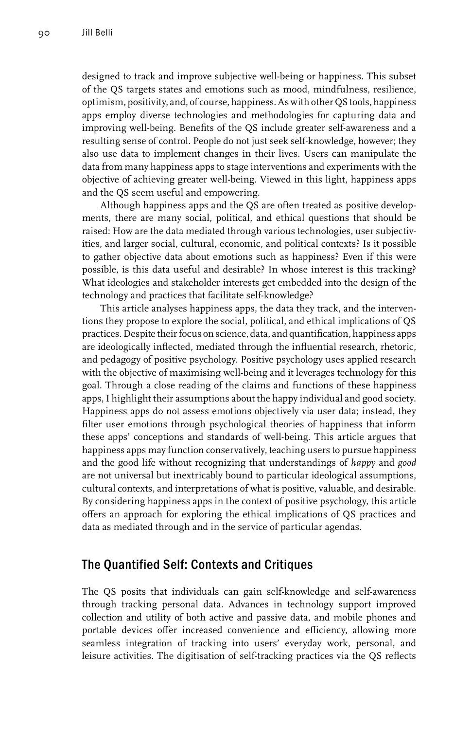designed to track and improve subjective well-being or happiness. This subset of the QS targets states and emotions such as mood, mindfulness, resilience, optimism, positivity, and, of course, happiness. As with other QS tools, happiness apps employ diverse technologies and methodologies for capturing data and improving well-being. Benefits of the QS include greater self-awareness and a resulting sense of control. People do not just seek self-knowledge, however; they also use data to implement changes in their lives. Users can manipulate the data from many happiness apps to stage interventions and experiments with the objective of achieving greater well-being. Viewed in this light, happiness apps and the QS seem useful and empowering.

Although happiness apps and the QS are often treated as positive developments, there are many social, political, and ethical questions that should be raised: How are the data mediated through various technologies, user subjectivities, and larger social, cultural, economic, and political contexts? Is it possible to gather objective data about emotions such as happiness? Even if this were possible, is this data useful and desirable? In whose interest is this tracking? What ideologies and stakeholder interests get embedded into the design of the technology and practices that facilitate self-knowledge?

This article analyses happiness apps, the data they track, and the interventions they propose to explore the social, political, and ethical implications of QS practices. Despite their focus on science, data, and quantification, happiness apps are ideologically inflected, mediated through the influential research, rhetoric, and pedagogy of positive psychology. Positive psychology uses applied research with the objective of maximising well-being and it leverages technology for this goal. Through a close reading of the claims and functions of these happiness apps, I highlight their assumptions about the happy individual and good society. Happiness apps do not assess emotions objectively via user data; instead, they filter user emotions through psychological theories of happiness that inform these apps' conceptions and standards of well-being. This article argues that happiness apps may function conservatively, teaching users to pursue happiness and the good life without recognizing that understandings of *happy* and *good* are not universal but inextricably bound to particular ideological assumptions, cultural contexts, and interpretations of what is positive, valuable, and desirable. By considering happiness apps in the context of positive psychology, this article offers an approach for exploring the ethical implications of QS practices and data as mediated through and in the service of particular agendas.

#### The Quantified Self: Contexts and Critiques

The QS posits that individuals can gain self-knowledge and self-awareness through tracking personal data. Advances in technology support improved collection and utility of both active and passive data, and mobile phones and portable devices offer increased convenience and efficiency, allowing more seamless integration of tracking into users' everyday work, personal, and leisure activities. The digitisation of self-tracking practices via the QS reflects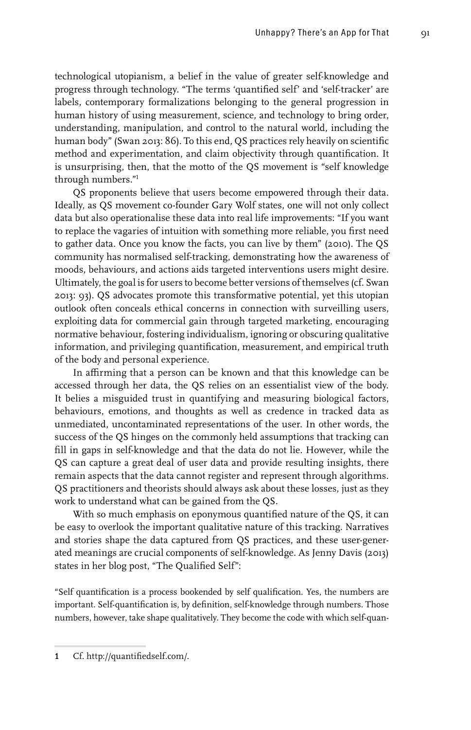technological utopianism, a belief in the value of greater self-knowledge and progress through technology. "The terms 'quantified self' and 'self-tracker' are labels, contemporary formalizations belonging to the general progression in human history of using measurement, science, and technology to bring order, understanding, manipulation, and control to the natural world, including the human body" (Swan 2013: 86). To this end, QS practices rely heavily on scientific method and experimentation, and claim objectivity through quantification. It is unsurprising, then, that the motto of the QS movement is "self knowledge through numbers."1

QS proponents believe that users become empowered through their data. Ideally, as QS movement co-founder Gary Wolf states, one will not only collect data but also operationalise these data into real life improvements: "If you want to replace the vagaries of intuition with something more reliable, you first need to gather data. Once you know the facts, you can live by them" (2010). The QS community has normalised self-tracking, demonstrating how the awareness of moods, behaviours, and actions aids targeted interventions users might desire. Ultimately, the goal is for users to become better versions of themselves (cf. Swan 2013: 93). QS advocates promote this transformative potential, yet this utopian outlook often conceals ethical concerns in connection with surveilling users, exploiting data for commercial gain through targeted marketing, encouraging normative behaviour, fostering individualism, ignoring or obscuring qualitative information, and privileging quantification, measurement, and empirical truth of the body and personal experience.

In affirming that a person can be known and that this knowledge can be accessed through her data, the QS relies on an essentialist view of the body. It belies a misguided trust in quantifying and measuring biological factors, behaviours, emotions, and thoughts as well as credence in tracked data as unmediated, uncontaminated representations of the user. In other words, the success of the QS hinges on the commonly held assumptions that tracking can fill in gaps in self-knowledge and that the data do not lie. However, while the QS can capture a great deal of user data and provide resulting insights, there remain aspects that the data cannot register and represent through algorithms. QS practitioners and theorists should always ask about these losses, just as they work to understand what can be gained from the QS.

With so much emphasis on eponymous quantified nature of the QS, it can be easy to overlook the important qualitative nature of this tracking. Narratives and stories shape the data captured from QS practices, and these user-generated meanings are crucial components of self-knowledge. As Jenny Davis (2013) states in her blog post, "The Qualified Self":

"Self quantification is a process bookended by self qualification. Yes, the numbers are important. Self-quantification is, by definition, self-knowledge through numbers. Those numbers, however, take shape qualitatively. They become the code with which self-quan-

<sup>1</sup> Cf. http://quantifiedself.com/.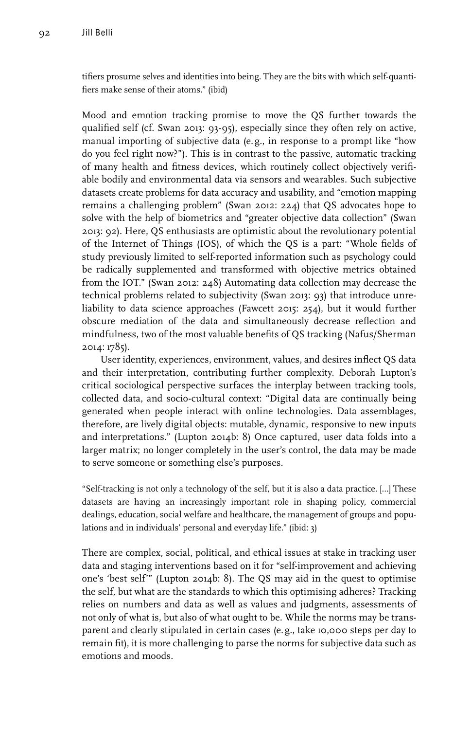tifiers prosume selves and identities into being. They are the bits with which self-quantifiers make sense of their atoms." (ibid)

Mood and emotion tracking promise to move the QS further towards the qualified self (cf. Swan 2013: 93-95), especially since they often rely on active, manual importing of subjective data (e.g., in response to a prompt like "how do you feel right now?"). This is in contrast to the passive, automatic tracking of many health and fitness devices, which routinely collect objectively verifiable bodily and environmental data via sensors and wearables. Such subjective datasets create problems for data accuracy and usability, and "emotion mapping remains a challenging problem" (Swan 2012: 224) that QS advocates hope to solve with the help of biometrics and "greater objective data collection" (Swan 2013: 92). Here, QS enthusiasts are optimistic about the revolutionary potential of the Internet of Things (IOS), of which the QS is a part: "Whole fields of study previously limited to self-reported information such as psychology could be radically supplemented and transformed with objective metrics obtained from the IOT." (Swan 2012: 248) Automating data collection may decrease the technical problems related to subjectivity (Swan 2013: 93) that introduce unreliability to data science approaches (Fawcett 2015: 254), but it would further obscure mediation of the data and simultaneously decrease reflection and mindfulness, two of the most valuable benefits of QS tracking (Nafus/Sherman 2014: 1785).

User identity, experiences, environment, values, and desires inflect QS data and their interpretation, contributing further complexity. Deborah Lupton's critical sociological perspective surfaces the interplay between tracking tools, collected data, and socio-cultural context: "Digital data are continually being generated when people interact with online technologies. Data assemblages, therefore, are lively digital objects: mutable, dynamic, responsive to new inputs and interpretations." (Lupton 2014b: 8) Once captured, user data folds into a larger matrix; no longer completely in the user's control, the data may be made to serve someone or something else's purposes.

"Self-tracking is not only a technology of the self, but it is also a data practice. […] These datasets are having an increasingly important role in shaping policy, commercial dealings, education, social welfare and healthcare, the management of groups and populations and in individuals' personal and everyday life." (ibid: 3)

There are complex, social, political, and ethical issues at stake in tracking user data and staging interventions based on it for "self-improvement and achieving one's 'best self'" (Lupton 2014b: 8). The QS may aid in the quest to optimise the self, but what are the standards to which this optimising adheres? Tracking relies on numbers and data as well as values and judgments, assessments of not only of what is, but also of what ought to be. While the norms may be transparent and clearly stipulated in certain cases (e. g., take 10,000 steps per day to remain fit), it is more challenging to parse the norms for subjective data such as emotions and moods.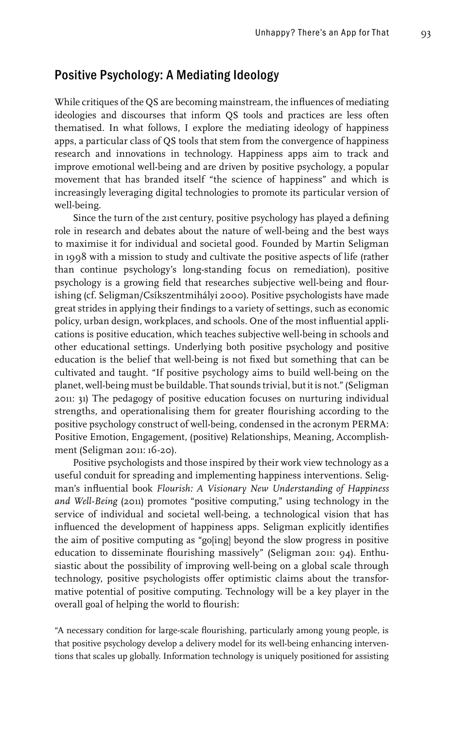## Positive Psychology: A Mediating Ideology

While critiques of the QS are becoming mainstream, the influences of mediating ideologies and discourses that inform QS tools and practices are less often thematised. In what follows, I explore the mediating ideology of happiness apps, a particular class of QS tools that stem from the convergence of happiness research and innovations in technology. Happiness apps aim to track and improve emotional well-being and are driven by positive psychology, a popular movement that has branded itself "the science of happiness" and which is increasingly leveraging digital technologies to promote its particular version of well-being.

Since the turn of the 21st century, positive psychology has played a defining role in research and debates about the nature of well-being and the best ways to maximise it for individual and societal good. Founded by Martin Seligman in 1998 with a mission to study and cultivate the positive aspects of life (rather than continue psychology's long-standing focus on remediation), positive psychology is a growing field that researches subjective well-being and flourishing (cf. Seligman/Csíkszentmihályi 2000). Positive psychologists have made great strides in applying their findings to a variety of settings, such as economic policy, urban design, workplaces, and schools. One of the most influential applications is positive education, which teaches subjective well-being in schools and other educational settings. Underlying both positive psychology and positive education is the belief that well-being is not fixed but something that can be cultivated and taught. "If positive psychology aims to build well-being on the planet, well-being must be buildable. That sounds trivial, but it is not." (Seligman 2011: 31) The pedagogy of positive education focuses on nurturing individual strengths, and operationalising them for greater flourishing according to the positive psychology construct of well-being, condensed in the acronym PERMA: Positive Emotion, Engagement, (positive) Relationships, Meaning, Accomplishment (Seligman 2011: 16-20).

Positive psychologists and those inspired by their work view technology as a useful conduit for spreading and implementing happiness interventions. Seligman's influential book *Flourish: A Visionary New Understanding of Happiness and Well-Being* (2011) promotes "positive computing," using technology in the service of individual and societal well-being, a technological vision that has influenced the development of happiness apps. Seligman explicitly identifies the aim of positive computing as "go[ing] beyond the slow progress in positive education to disseminate flourishing massively" (Seligman 2011: 94). Enthusiastic about the possibility of improving well-being on a global scale through technology, positive psychologists offer optimistic claims about the transformative potential of positive computing. Technology will be a key player in the overall goal of helping the world to flourish:

"A necessary condition for large-scale flourishing, particularly among young people, is that positive psychology develop a delivery model for its well-being enhancing interventions that scales up globally. Information technology is uniquely positioned for assisting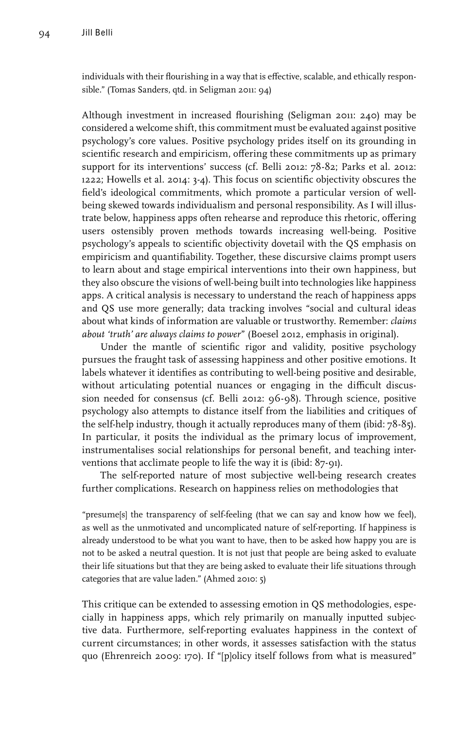individuals with their flourishing in a way that is effective, scalable, and ethically responsible." (Tomas Sanders, qtd. in Seligman 2011: 94)

Although investment in increased flourishing (Seligman 2011: 240) may be considered a welcome shift, this commitment must be evaluated against positive psychology's core values. Positive psychology prides itself on its grounding in scientific research and empiricism, offering these commitments up as primary support for its interventions' success (cf. Belli 2012: 78-82; Parks et al. 2012: 1222; Howells et al. 2014: 3-4). This focus on scientific objectivity obscures the field's ideological commitments, which promote a particular version of wellbeing skewed towards individualism and personal responsibility. As I will illustrate below, happiness apps often rehearse and reproduce this rhetoric, offering users ostensibly proven methods towards increasing well-being. Positive psychology's appeals to scientific objectivity dovetail with the QS emphasis on empiricism and quantifiability. Together, these discursive claims prompt users to learn about and stage empirical interventions into their own happiness, but they also obscure the visions of well-being built into technologies like happiness apps. A critical analysis is necessary to understand the reach of happiness apps and QS use more generally; data tracking involves "social and cultural ideas about what kinds of information are valuable or trustworthy. Remember: *claims about 'truth' are always claims to power*" (Boesel 2012, emphasis in original).

Under the mantle of scientific rigor and validity, positive psychology pursues the fraught task of assessing happiness and other positive emotions. It labels whatever it identifies as contributing to well-being positive and desirable, without articulating potential nuances or engaging in the difficult discussion needed for consensus (cf. Belli 2012: 96-98). Through science, positive psychology also attempts to distance itself from the liabilities and critiques of the self-help industry, though it actually reproduces many of them (ibid: 78-85). In particular, it posits the individual as the primary locus of improvement, instrumentalises social relationships for personal benefit, and teaching interventions that acclimate people to life the way it is (ibid: 87-91).

The self-reported nature of most subjective well-being research creates further complications. Research on happiness relies on methodologies that

"presume[s] the transparency of self-feeling (that we can say and know how we feel), as well as the unmotivated and uncomplicated nature of self-reporting. If happiness is already understood to be what you want to have, then to be asked how happy you are is not to be asked a neutral question. It is not just that people are being asked to evaluate their life situations but that they are being asked to evaluate their life situations through categories that are value laden." (Ahmed 2010: 5)

This critique can be extended to assessing emotion in QS methodologies, especially in happiness apps, which rely primarily on manually inputted subjective data. Furthermore, self-reporting evaluates happiness in the context of current circumstances; in other words, it assesses satisfaction with the status quo (Ehrenreich 2009: 170). If "[p]olicy itself follows from what is measured"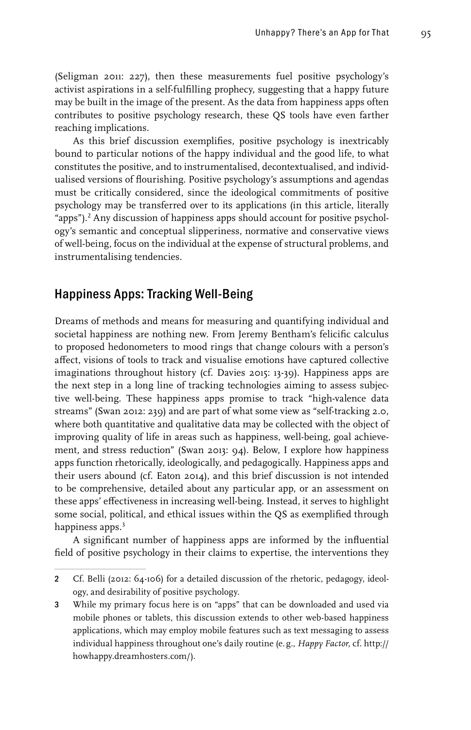(Seligman 2011: 227), then these measurements fuel positive psychology's activist aspirations in a self-fulfilling prophecy, suggesting that a happy future may be built in the image of the present. As the data from happiness apps often contributes to positive psychology research, these QS tools have even farther reaching implications.

As this brief discussion exemplifies, positive psychology is inextricably bound to particular notions of the happy individual and the good life, to what constitutes the positive, and to instrumentalised, decontextualised, and individualised versions of flourishing. Positive psychology's assumptions and agendas must be critically considered, since the ideological commitments of positive psychology may be transferred over to its applications (in this article, literally "apps").<sup>2</sup> Any discussion of happiness apps should account for positive psychology's semantic and conceptual slipperiness, normative and conservative views of well-being, focus on the individual at the expense of structural problems, and instrumentalising tendencies.

#### Happiness Apps: Tracking Well-Being

Dreams of methods and means for measuring and quantifying individual and societal happiness are nothing new. From Jeremy Bentham's felicific calculus to proposed hedonometers to mood rings that change colours with a person's affect, visions of tools to track and visualise emotions have captured collective imaginations throughout history (cf. Davies 2015: 13-39). Happiness apps are the next step in a long line of tracking technologies aiming to assess subjective well-being. These happiness apps promise to track "high-valence data streams" (Swan 2012: 239) and are part of what some view as "self-tracking 2.0, where both quantitative and qualitative data may be collected with the object of improving quality of life in areas such as happiness, well-being, goal achievement, and stress reduction" (Swan 2013: 94). Below, I explore how happiness apps function rhetorically, ideologically, and pedagogically. Happiness apps and their users abound (cf. Eaton 2014), and this brief discussion is not intended to be comprehensive, detailed about any particular app, or an assessment on these apps' effectiveness in increasing well-being. Instead, it serves to highlight some social, political, and ethical issues within the QS as exemplified through happiness apps.<sup>3</sup>

A significant number of happiness apps are informed by the influential field of positive psychology in their claims to expertise, the interventions they

<sup>2</sup> Cf. Belli (2012: 64-106) for a detailed discussion of the rhetoric, pedagogy, ideology, and desirability of positive psychology.

<sup>3</sup> While my primary focus here is on "apps" that can be downloaded and used via mobile phones or tablets, this discussion extends to other web-based happiness applications, which may employ mobile features such as text messaging to assess individual happiness throughout one's daily routine (e. g., *Happy Factor*, cf. http:// howhappy.dreamhosters.com/).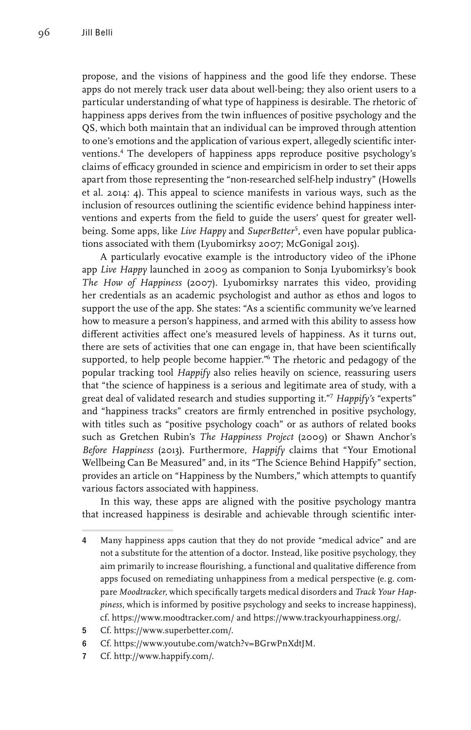propose, and the visions of happiness and the good life they endorse. These apps do not merely track user data about well-being; they also orient users to a particular understanding of what type of happiness is desirable. The rhetoric of happiness apps derives from the twin influences of positive psychology and the QS, which both maintain that an individual can be improved through attention to one's emotions and the application of various expert, allegedly scientific interventions.4 The developers of happiness apps reproduce positive psychology's claims of efficacy grounded in science and empiricism in order to set their apps apart from those representing the "non-researched self-help industry" (Howells et al. 2014: 4). This appeal to science manifests in various ways, such as the inclusion of resources outlining the scientific evidence behind happiness interventions and experts from the field to guide the users' quest for greater wellbeing. Some apps, like *Live Happy* and *SuperBetter*<sup>5</sup> , even have popular publications associated with them (Lyubomirksy 2007; McGonigal 2015).

A particularly evocative example is the introductory video of the iPhone app *Live Happy* launched in 2009 as companion to Sonja Lyubomirksy's book *The How of Happiness* (2007). Lyubomirksy narrates this video, providing her credentials as an academic psychologist and author as ethos and logos to support the use of the app. She states: "As a scientific community we've learned how to measure a person's happiness, and armed with this ability to assess how different activities affect one's measured levels of happiness. As it turns out, there are sets of activities that one can engage in, that have been scientifically supported, to help people become happier."<sup>6</sup> The rhetoric and pedagogy of the popular tracking tool *Happify* also relies heavily on science, reassuring users that "the science of happiness is a serious and legitimate area of study, with a great deal of validated research and studies supporting it."7 *Happify's* "experts" and "happiness tracks" creators are firmly entrenched in positive psychology, with titles such as "positive psychology coach" or as authors of related books such as Gretchen Rubin's *The Happiness Project* (2009) or Shawn Anchor's *Before Happiness* (2013). Furthermore, *Happify* claims that "Your Emotional Wellbeing Can Be Measured" and, in its "The Science Behind Happify" section, provides an article on "Happiness by the Numbers," which attempts to quantify various factors associated with happiness.

In this way, these apps are aligned with the positive psychology mantra that increased happiness is desirable and achievable through scientific inter-

- 5 Cf. https://www.superbetter.com/.
- 6 Cf. https://www.youtube.com/watch?v=BGrwPnXdtJM.
- 7 Cf. http://www.happify.com/.

<sup>4</sup> Many happiness apps caution that they do not provide "medical advice" and are not a substitute for the attention of a doctor. Instead, like positive psychology, they aim primarily to increase flourishing, a functional and qualitative difference from apps focused on remediating unhappiness from a medical perspective (e. g. compare *Moodtracker*, which specifically targets medical disorders and *Track Your Happiness*, which is informed by positive psychology and seeks to increase happiness), cf. https://www.moodtracker.com/ and https://www.trackyourhappiness.org/.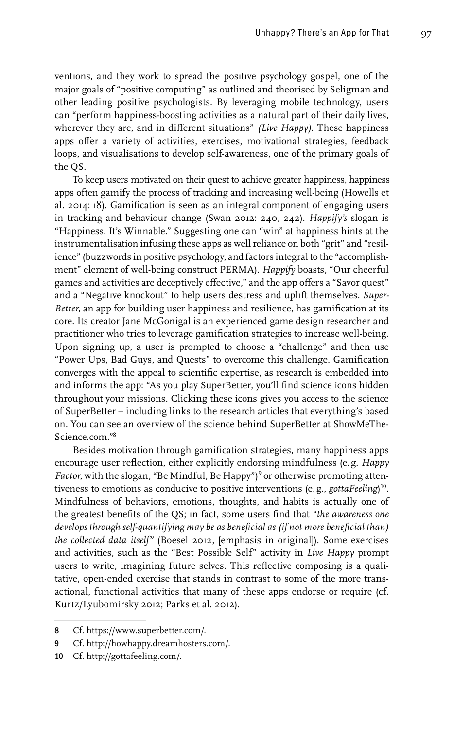ventions, and they work to spread the positive psychology gospel, one of the major goals of "positive computing" as outlined and theorised by Seligman and other leading positive psychologists. By leveraging mobile technology, users can "perform happiness-boosting activities as a natural part of their daily lives, wherever they are, and in different situations" *(Live Happy)*. These happiness apps offer a variety of activities, exercises, motivational strategies, feedback loops, and visualisations to develop self-awareness, one of the primary goals of the QS.

To keep users motivated on their quest to achieve greater happiness, happiness apps often gamify the process of tracking and increasing well-being (Howells et al. 2014: 18). Gamification is seen as an integral component of engaging users in tracking and behaviour change (Swan 2012: 240, 242). *Happify's* slogan is "Happiness. It's Winnable." Suggesting one can "win" at happiness hints at the instrumentalisation infusing these apps as well reliance on both "grit" and "resilience" (buzzwords in positive psychology, and factors integral to the "accomplishment" element of well-being construct PERMA). *Happify* boasts, "Our cheerful games and activities are deceptively effective," and the app offers a "Savor quest" and a "Negative knockout" to help users destress and uplift themselves. *Super-Better*, an app for building user happiness and resilience, has gamification at its core. Its creator Jane McGonigal is an experienced game design researcher and practitioner who tries to leverage gamification strategies to increase well-being. Upon signing up, a user is prompted to choose a "challenge" and then use "Power Ups, Bad Guys, and Quests" to overcome this challenge. Gamification converges with the appeal to scientific expertise, as research is embedded into and informs the app: "As you play SuperBetter, you'll find science icons hidden throughout your missions. Clicking these icons gives you access to the science of SuperBetter – including links to the research articles that everything's based on. You can see an overview of the science behind SuperBetter at ShowMeThe-Science.com."8

Besides motivation through gamification strategies, many happiness apps encourage user reflection, either explicitly endorsing mindfulness (e.g. *Happy*  Factor, with the slogan, "Be Mindful, Be Happy")<sup>9</sup> or otherwise promoting attentiveness to emotions as conducive to positive interventions (e.g., *gottaFeeling*) 10. Mindfulness of behaviors, emotions, thoughts, and habits is actually one of the greatest benefits of the QS; in fact, some users find that *"the awareness one develops through self-quantifying may be as beneficial as (if not more beneficial than) the collected data itself"* (Boesel 2012, [emphasis in original]). Some exercises and activities, such as the "Best Possible Self" activity in *Live Happy* prompt users to write, imagining future selves. This reflective composing is a qualitative, open-ended exercise that stands in contrast to some of the more transactional, functional activities that many of these apps endorse or require (cf. Kurtz/Lyubomirsky 2012; Parks et al. 2012).

<sup>8</sup> Cf. https://www.superbetter.com/.

<sup>9</sup> Cf. http://howhappy.dreamhosters.com/.

<sup>10</sup> Cf. http://gottafeeling.com/.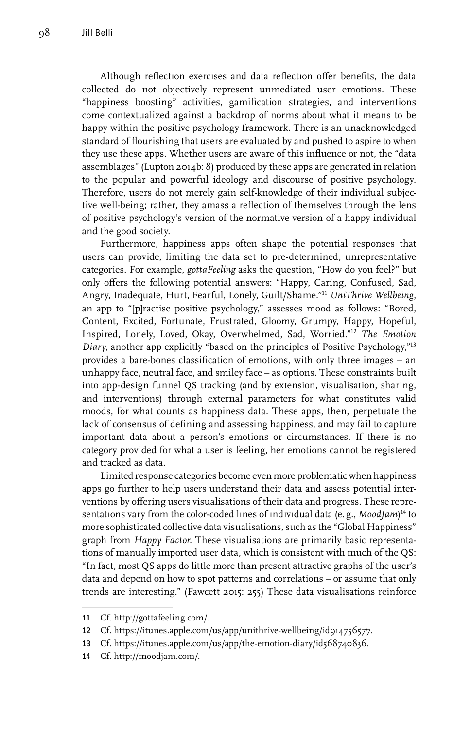Although reflection exercises and data reflection offer benefits, the data collected do not objectively represent unmediated user emotions. These "happiness boosting" activities, gamification strategies, and interventions come contextualized against a backdrop of norms about what it means to be happy within the positive psychology framework. There is an unacknowledged standard of flourishing that users are evaluated by and pushed to aspire to when they use these apps. Whether users are aware of this influence or not, the "data assemblages" (Lupton 2014b: 8) produced by these apps are generated in relation to the popular and powerful ideology and discourse of positive psychology. Therefore, users do not merely gain self-knowledge of their individual subjective well-being; rather, they amass a reflection of themselves through the lens of positive psychology's version of the normative version of a happy individual and the good society.

Furthermore, happiness apps often shape the potential responses that users can provide, limiting the data set to pre-determined, unrepresentative categories. For example, *gottaFeeling* asks the question, "How do you feel?" but only offers the following potential answers: "Happy, Caring, Confused, Sad, Angry, Inadequate, Hurt, Fearful, Lonely, Guilt/Shame."11 *UniThrive Wellbeing*, an app to "[p]ractise positive psychology," assesses mood as follows: "Bored, Content, Excited, Fortunate, Frustrated, Gloomy, Grumpy, Happy, Hopeful, Inspired, Lonely, Loved, Okay, Overwhelmed, Sad, Worried."12 *The Emotion Diary*, another app explicitly "based on the principles of Positive Psychology,"13 provides a bare-bones classification of emotions, with only three images – an unhappy face, neutral face, and smiley face – as options. These constraints built into app-design funnel QS tracking (and by extension, visualisation, sharing, and interventions) through external parameters for what constitutes valid moods, for what counts as happiness data. These apps, then, perpetuate the lack of consensus of defining and assessing happiness, and may fail to capture important data about a person's emotions or circumstances. If there is no category provided for what a user is feeling, her emotions cannot be registered and tracked as data.

Limited response categories become even more problematic when happiness apps go further to help users understand their data and assess potential interventions by offering users visualisations of their data and progress. These representations vary from the color-coded lines of individual data (e. g., *MoodJam*) 14 to more sophisticated collective data visualisations, such as the "Global Happiness" graph from *Happy Factor*. These visualisations are primarily basic representations of manually imported user data, which is consistent with much of the QS: "In fact, most QS apps do little more than present attractive graphs of the user's data and depend on how to spot patterns and correlations – or assume that only trends are interesting." (Fawcett 2015: 255) These data visualisations reinforce

<sup>11</sup> Cf. http://gottafeeling.com/.

<sup>12</sup> Cf. https://itunes.apple.com/us/app/unithrive-wellbeing/id914756577.

<sup>13</sup> Cf. https://itunes.apple.com/us/app/the-emotion-diary/id568740836.

<sup>14</sup> Cf. http://moodjam.com/.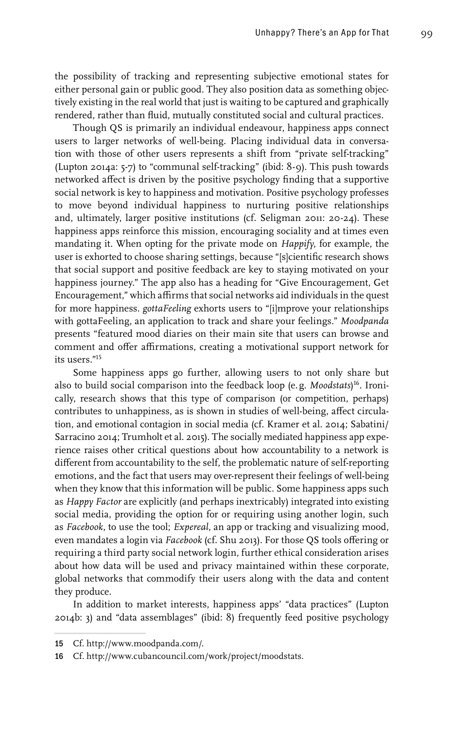the possibility of tracking and representing subjective emotional states for either personal gain or public good. They also position data as something objectively existing in the real world that just is waiting to be captured and graphically rendered, rather than fluid, mutually constituted social and cultural practices.

Though QS is primarily an individual endeavour, happiness apps connect users to larger networks of well-being. Placing individual data in conversation with those of other users represents a shift from "private self-tracking" (Lupton 2014a: 5-7) to "communal self-tracking" (ibid: 8-9). This push towards networked affect is driven by the positive psychology finding that a supportive social network is key to happiness and motivation. Positive psychology professes to move beyond individual happiness to nurturing positive relationships and, ultimately, larger positive institutions (cf. Seligman 2011: 20-24). These happiness apps reinforce this mission, encouraging sociality and at times even mandating it. When opting for the private mode on *Happify*, for example, the user is exhorted to choose sharing settings, because "[s]cientific research shows that social support and positive feedback are key to staying motivated on your happiness journey." The app also has a heading for "Give Encouragement, Get Encouragement," which affirms that social networks aid individuals in the quest for more happiness. *gottaFeeling* exhorts users to "[i]mprove your relationships with gottaFeeling, an application to track and share your feelings." *Moodpanda* presents "featured mood diaries on their main site that users can browse and comment and offer affirmations, creating a motivational support network for its users."15

Some happiness apps go further, allowing users to not only share but also to build social comparison into the feedback loop (e.g. *Moodstats*) 16. Ironically, research shows that this type of comparison (or competition, perhaps) contributes to unhappiness, as is shown in studies of well-being, affect circulation, and emotional contagion in social media (cf. Kramer et al. 2014; Sabatini/ Sarracino 2014; Trumholt et al. 2015). The socially mediated happiness app experience raises other critical questions about how accountability to a network is different from accountability to the self, the problematic nature of self-reporting emotions, and the fact that users may over-represent their feelings of well-being when they know that this information will be public. Some happiness apps such as *Happy Factor* are explicitly (and perhaps inextricably) integrated into existing social media, providing the option for or requiring using another login, such as *Facebook*, to use the tool; *Expereal*, an app or tracking and visualizing mood, even mandates a login via *Facebook* (cf. Shu 2013). For those QS tools offering or requiring a third party social network login, further ethical consideration arises about how data will be used and privacy maintained within these corporate, global networks that commodify their users along with the data and content they produce.

In addition to market interests, happiness apps' "data practices" (Lupton 2014b: 3) and "data assemblages" (ibid: 8) frequently feed positive psychology

<sup>15</sup> Cf. http://www.moodpanda.com/.

<sup>16</sup> Cf. <http://www.cubancouncil.com/work/project/moodstats>.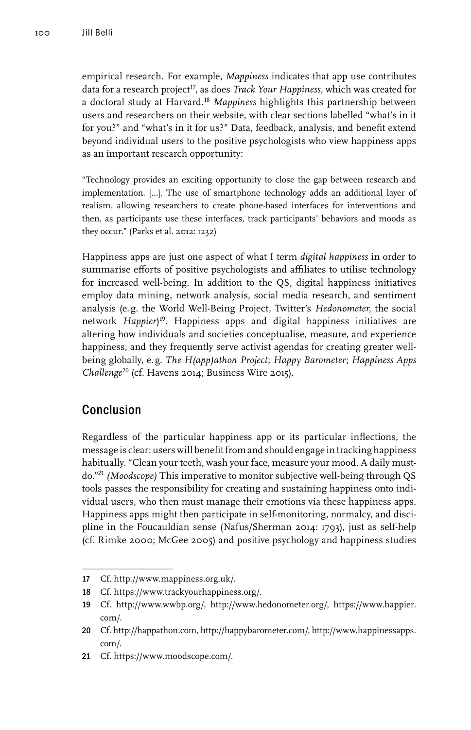empirical research. For example, *Mappiness* indicates that app use contributes data for a research project<sup>17</sup>, as does *Track Your Happiness*, which was created for a doctoral study at Harvard.18 *Mappiness* highlights this partnership between users and researchers on their website, with clear sections labelled "what's in it for you?" and "what's in it for us?" Data, feedback, analysis, and benefit extend beyond individual users to the positive psychologists who view happiness apps as an important research opportunity:

"Technology provides an exciting opportunity to close the gap between research and implementation. […]. The use of smartphone technology adds an additional layer of realism, allowing researchers to create phone-based interfaces for interventions and then, as participants use these interfaces, track participants' behaviors and moods as they occur." (Parks et al. 2012: 1232)

Happiness apps are just one aspect of what I term *digital happiness* in order to summarise efforts of positive psychologists and affiliates to utilise technology for increased well-being. In addition to the QS, digital happiness initiatives employ data mining, network analysis, social media research, and sentiment analysis (e.g. the World Well-Being Project, Twitter's *Hedonometer*, the social network *Happier*) 19. Happiness apps and digital happiness initiatives are altering how individuals and societies conceptualise, measure, and experience happiness, and they frequently serve activist agendas for creating greater wellbeing globally, e.g. *The H(app)athon Project*; *Happy Barometer*; *Happiness Apps Challenge*20 (cf. Havens 2014; Business Wire 2015).

## Conclusion

Regardless of the particular happiness app or its particular inflections, the message is clear: users will benefit from and should engage in tracking happiness habitually. "Clean your teeth, wash your face, measure your mood. A daily mustdo."21 *(Moodscope)* This imperative to monitor subjective well-being through QS tools passes the responsibility for creating and sustaining happiness onto individual users, who then must manage their emotions via these happiness apps. Happiness apps might then participate in self-monitoring, normalcy, and discipline in the Foucauldian sense (Nafus/Sherman 2014: 1793), just as self-help (cf. Rimke 2000; McGee 2005) and positive psychology and happiness studies

<sup>17</sup> Cf. [http://www.mappiness.org.uk/.](http://www.mappiness.org.uk/)

<sup>18</sup> Cf.<https://www.trackyourhappiness.org/>.

<sup>19</sup> Cf. http://www.wwbp.org/, http://www.hedonometer.org/, https://www.happier. com/.

<sup>20</sup> Cf. http://happathon.com, http://happybarometer.com/, http://www.happinessapps. com/.

<sup>21</sup> Cf. https://www.moodscope.com/.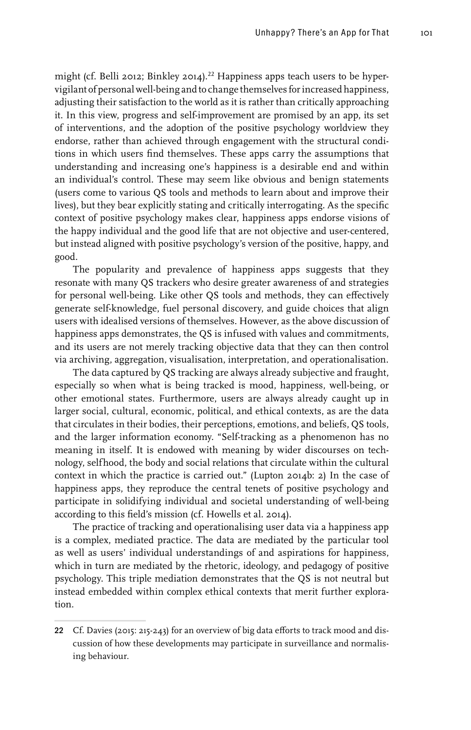might (cf. Belli 2012; Binkley 2014).<sup>22</sup> Happiness apps teach users to be hypervigilant of personal well-being and to change themselves for increased happiness, adjusting their satisfaction to the world as it is rather than critically approaching it. In this view, progress and self-improvement are promised by an app, its set of interventions, and the adoption of the positive psychology worldview they endorse, rather than achieved through engagement with the structural conditions in which users find themselves. These apps carry the assumptions that understanding and increasing one's happiness is a desirable end and within an individual's control. These may seem like obvious and benign statements (users come to various QS tools and methods to learn about and improve their lives), but they bear explicitly stating and critically interrogating. As the specific context of positive psychology makes clear, happiness apps endorse visions of the happy individual and the good life that are not objective and user-centered, but instead aligned with positive psychology's version of the positive, happy, and good.

The popularity and prevalence of happiness apps suggests that they resonate with many QS trackers who desire greater awareness of and strategies for personal well-being. Like other QS tools and methods, they can effectively generate self-knowledge, fuel personal discovery, and guide choices that align users with idealised versions of themselves. However, as the above discussion of happiness apps demonstrates, the QS is infused with values and commitments, and its users are not merely tracking objective data that they can then control via archiving, aggregation, visualisation, interpretation, and operationalisation.

The data captured by QS tracking are always already subjective and fraught, especially so when what is being tracked is mood, happiness, well-being, or other emotional states. Furthermore, users are always already caught up in larger social, cultural, economic, political, and ethical contexts, as are the data that circulates in their bodies, their perceptions, emotions, and beliefs, QS tools, and the larger information economy. "Self-tracking as a phenomenon has no meaning in itself. It is endowed with meaning by wider discourses on technology, selfhood, the body and social relations that circulate within the cultural context in which the practice is carried out." (Lupton 2014b: 2) In the case of happiness apps, they reproduce the central tenets of positive psychology and participate in solidifying individual and societal understanding of well-being according to this field's mission (cf. Howells et al. 2014).

The practice of tracking and operationalising user data via a happiness app is a complex, mediated practice. The data are mediated by the particular tool as well as users' individual understandings of and aspirations for happiness, which in turn are mediated by the rhetoric, ideology, and pedagogy of positive psychology. This triple mediation demonstrates that the QS is not neutral but instead embedded within complex ethical contexts that merit further exploration.

<sup>22</sup> Cf. Davies (2015: 215-243) for an overview of big data efforts to track mood and discussion of how these developments may participate in surveillance and normalising behaviour.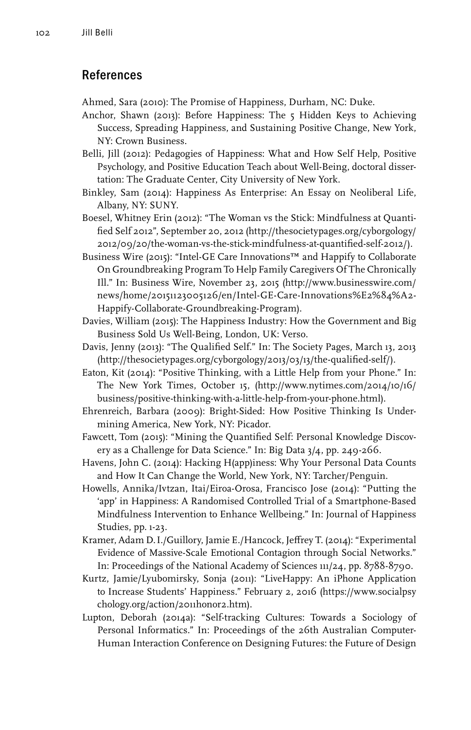## References

Ahmed, Sara (2010): The Promise of Happiness, Durham, NC: Duke.

- Anchor, Shawn (2013): Before Happiness: The 5 Hidden Keys to Achieving Success, Spreading Happiness, and Sustaining Positive Change, New York, NY: Crown Business.
- Belli, Jill (2012): Pedagogies of Happiness: What and How Self Help, Positive Psychology, and Positive Education Teach about Well-Being, doctoral dissertation: The Graduate Center, City University of New York.
- Binkley, Sam (2014): Happiness As Enterprise: An Essay on Neoliberal Life, Albany, NY: SUNY.
- Boesel, Whitney Erin (2012): "The Woman vs the Stick: Mindfulness at Quantified Self 2012", September 20, 2012 [\(http://thesocietypages.org/cyborgology/](http://thesocietypages.org/cyborgology/2012/09/20/the-woman-vs-the-stick-mindfulness-at-quantified-self-2012/) [2012/09/20/the-woman-vs-the-stick-mindfulness-at-quantified-self-2012/](http://thesocietypages.org/cyborgology/2012/09/20/the-woman-vs-the-stick-mindfulness-at-quantified-self-2012/)).
- Business Wire (2015): "Intel-GE Care Innovations™ and Happify to Collaborate On Groundbreaking Program To Help Family Caregivers Of The Chronically Ill." In: Business Wire, November 23, 2015 (http://www.businesswire.com/ news/home/20151123005126/en/Intel-GE-Care-Innovations%E2%84%A2- Happify-Collaborate-Groundbreaking-Program).
- Davies, William (2015): The Happiness Industry: How the Government and Big Business Sold Us Well-Being, London, UK: Verso.
- Davis, Jenny (2013): "The Qualified Self." In: The Society Pages, March 13, 2013 (http://thesocietypages.org/cyborgology/2013/03/13/the-qualified-self/).
- Eaton, Kit (2014): "Positive Thinking, with a Little Help from your Phone." In: The New York Times, October 15, (http://www.nytimes.com/2014/10/16/ business/positive-thinking-with-a-little-help-from-your-phone.html).
- Ehrenreich, Barbara (2009): Bright-Sided: How Positive Thinking Is Undermining America, New York, NY: Picador.
- Fawcett, Tom (2015): "Mining the Quantified Self: Personal Knowledge Discovery as a Challenge for Data Science." In: Big Data 3/4, pp. 249-266.
- Havens, John C. (2014): Hacking H(app)iness: Why Your Personal Data Counts and How It Can Change the World, New York, NY: Tarcher/Penguin.
- Howells, Annika/Ivtzan, Itai/Eiroa-Orosa, Francisco Jose (2014): "Putting the 'app' in Happiness: A Randomised Controlled Trial of a Smartphone-Based Mindfulness Intervention to Enhance Wellbeing." In: Journal of Happiness Studies, pp. 1-23.
- Kramer, Adam D.I./Guillory, Jamie E./Hancock, Jeffrey T. (2014): "Experimental Evidence of Massive-Scale Emotional Contagion through Social Networks." In: Proceedings of the National Academy of Sciences 111/24, pp. 8788-8790.
- Kurtz, Jamie/Lyubomirsky, Sonja (2011): "LiveHappy: An iPhone Application to Increase Students' Happiness." February 2, 2016 (https://www.socialpsy chology.org/action/2011honor2.htm).
- Lupton, Deborah (2014a): "Self-tracking Cultures: Towards a Sociology of Personal Informatics." In: Proceedings of the 26th Australian Computer-Human Interaction Conference on Designing Futures: the Future of Design